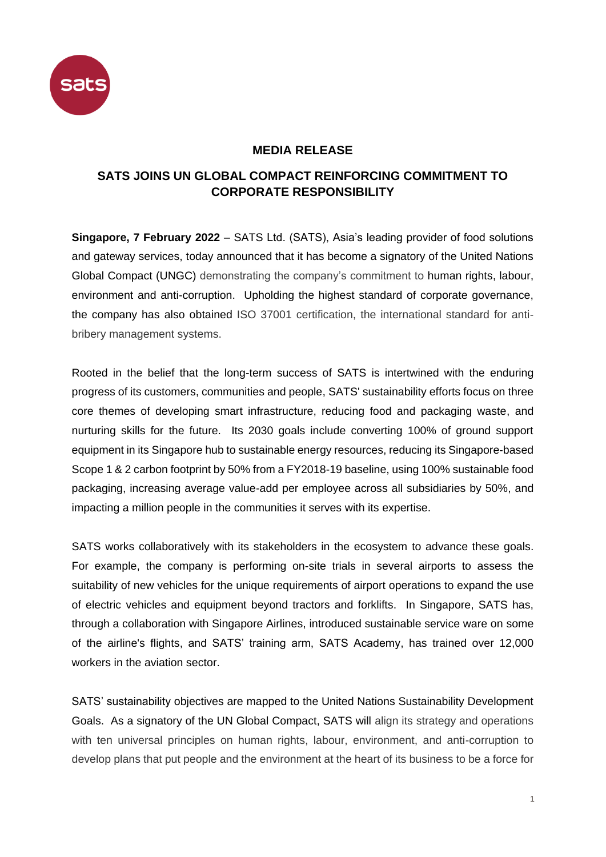

## **MEDIA RELEASE**

## **SATS JOINS UN GLOBAL COMPACT REINFORCING COMMITMENT TO CORPORATE RESPONSIBILITY**

**Singapore, 7 February 2022** *–* SATS Ltd. (SATS), Asia's leading provider of food solutions and gateway services, today announced that it has become a signatory of the United Nations Global Compact (UNGC) demonstrating the company's commitment to human rights, labour, environment and anti-corruption. Upholding the highest standard of corporate governance, the company has also obtained ISO 37001 certification, the international standard for antibribery management systems.

Rooted in the belief that the long-term success of SATS is intertwined with the enduring progress of its customers, communities and people, SATS' sustainability efforts focus on three core themes of developing smart infrastructure, reducing food and packaging waste, and nurturing skills for the future. Its 2030 goals include converting 100% of ground support equipment in its Singapore hub to sustainable energy resources, reducing its Singapore-based Scope 1 & 2 carbon footprint by 50% from a FY2018-19 baseline, using 100% sustainable food packaging, increasing average value-add per employee across all subsidiaries by 50%, and impacting a million people in the communities it serves with its expertise.

SATS works collaboratively with its stakeholders in the ecosystem to advance these goals. For example, the company is performing on-site trials in several airports to assess the suitability of new vehicles for the unique requirements of airport operations to expand the use of electric vehicles and equipment beyond tractors and forklifts. In Singapore, SATS has, through a collaboration with Singapore Airlines, introduced sustainable service ware on some of the airline's flights, and SATS' training arm, SATS Academy, has trained over 12,000 workers in the aviation sector.

SATS' sustainability objectives are mapped to the United Nations Sustainability Development Goals. As a signatory of the UN Global Compact, SATS will align its strategy and operations with ten universal principles on human rights, labour, environment, and anti-corruption to develop plans that put people and the environment at the heart of its business to be a force for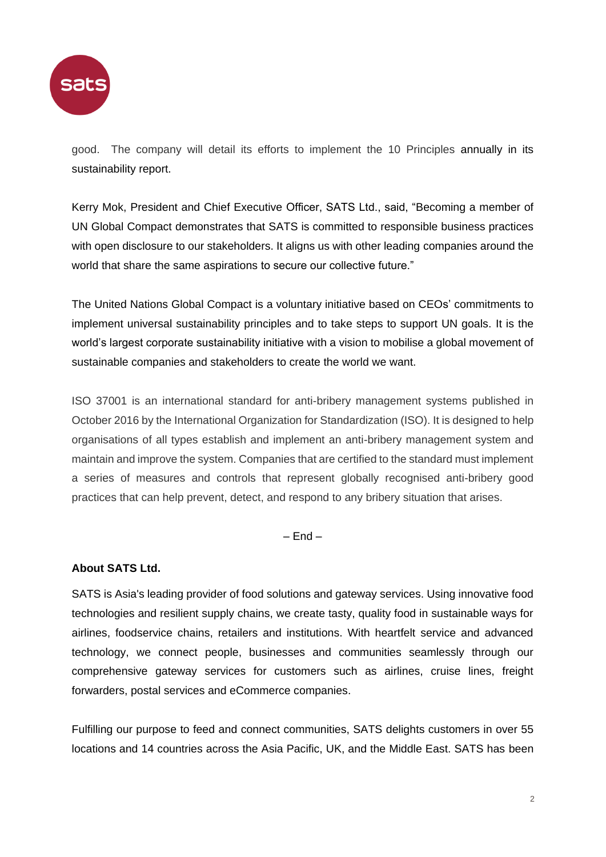

good. The company will detail its efforts to implement the 10 Principles annually in its sustainability report.

Kerry Mok, President and Chief Executive Officer, SATS Ltd., said, "Becoming a member of UN Global Compact demonstrates that SATS is committed to responsible business practices with open disclosure to our stakeholders. It aligns us with other leading companies around the world that share the same aspirations to secure our collective future."

The United Nations Global Compact is a voluntary initiative based on CEOs' commitments to implement universal sustainability principles and to take steps to support UN goals. It is the world's largest corporate sustainability initiative with a vision to mobilise a global movement of sustainable companies and stakeholders to create the world we want.

ISO 37001 is an international standard for anti-bribery management systems published in October 2016 by the International Organization for Standardization (ISO). It is designed to help organisations of all types establish and implement an anti-bribery management system and maintain and improve the system. Companies that are certified to the standard must implement a series of measures and controls that represent globally recognised anti-bribery good practices that can help prevent, detect, and respond to any bribery situation that arises.

 $-$  End  $-$ 

## **About SATS Ltd.**

SATS is Asia's leading provider of food solutions and gateway services. Using innovative food technologies and resilient supply chains, we create tasty, quality food in sustainable ways for airlines, foodservice chains, retailers and institutions. With heartfelt service and advanced technology, we connect people, businesses and communities seamlessly through our comprehensive gateway services for customers such as airlines, cruise lines, freight forwarders, postal services and eCommerce companies.

Fulfilling our purpose to feed and connect communities, SATS delights customers in over 55 locations and 14 countries across the Asia Pacific, UK, and the Middle East. SATS has been